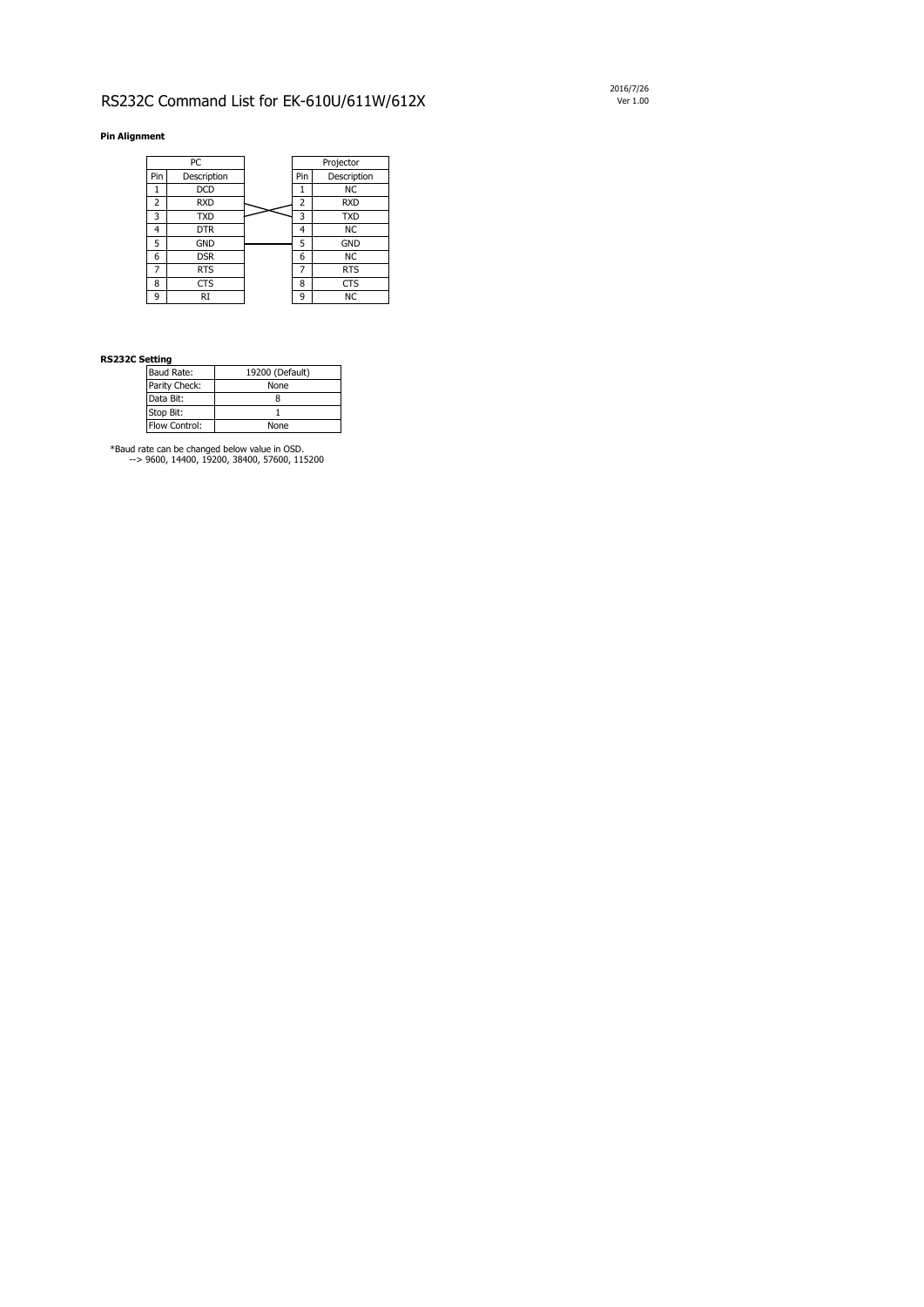## RS232C Command List for EK-610U/611W/612X Ver 1.00

## **Pin Alignment**

## **RS232C Setting**

\*Baud rate can be changed below value in OSD. --> 9600, 14400, 19200, 38400, 57600, 115200 2016/7/26

|     | PC          | Projector      |             |  |
|-----|-------------|----------------|-------------|--|
| Pin | Description | Pin            | Description |  |
| 1   | <b>DCD</b>  | 1              | <b>NC</b>   |  |
| 2   | <b>RXD</b>  | $\overline{2}$ | <b>RXD</b>  |  |
| 3   | <b>TXD</b>  | 3              | <b>TXD</b>  |  |
| 4   | <b>DTR</b>  | 4              | <b>NC</b>   |  |
| 5   | <b>GND</b>  | 5              | <b>GND</b>  |  |
| 6   | <b>DSR</b>  | 6              | <b>NC</b>   |  |
| 7   | <b>RTS</b>  | $\overline{7}$ | <b>RTS</b>  |  |
| 8   | <b>CTS</b>  | 8              | <b>CTS</b>  |  |
| 9   | <b>RI</b>   | 9              | <b>NC</b>   |  |

| <b>Baud Rate:</b> | 19200 (Default) |
|-------------------|-----------------|
| Parity Check:     | <b>None</b>     |
| Data Bit:         |                 |
| Stop Bit:         |                 |
| Flow Control:     | <b>None</b>     |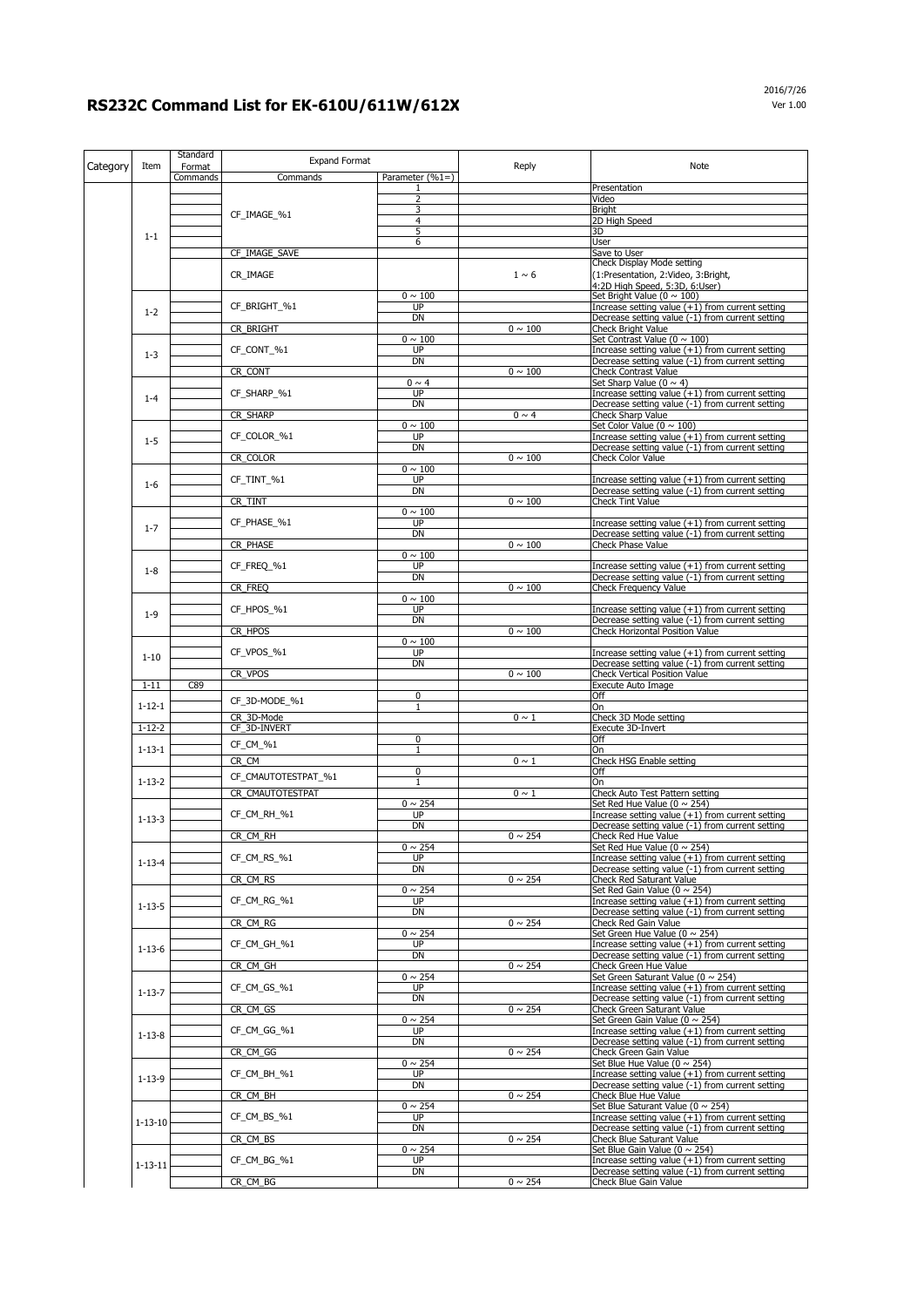|          |               | Standard           | <b>Expand Format</b> |                             |              | <b>Note</b>                                                                                            |
|----------|---------------|--------------------|----------------------|-----------------------------|--------------|--------------------------------------------------------------------------------------------------------|
| Category | Item          | Format<br>Commands | Commands             | Parameter $(%1=)$           | Reply        |                                                                                                        |
|          |               |                    |                      |                             |              | Presentation                                                                                           |
|          |               |                    |                      | 2<br>3                      |              | Video<br><b>Bright</b>                                                                                 |
|          |               |                    | CF_IMAGE_%1          | 4                           |              | 2D High Speed                                                                                          |
|          | $1 - 1$       |                    |                      | 5<br>6                      |              | 3D<br><b>User</b>                                                                                      |
|          |               |                    | CF_IMAGE_SAVE        |                             |              | Save to User                                                                                           |
|          |               |                    | CR_IMAGE             |                             | $1 \sim 6$   | Check Display Mode setting<br>(1:Presentation, 2:Video, 3:Bright,                                      |
|          |               |                    |                      |                             |              | 4:2D High Speed, 5:3D, 6:User)                                                                         |
|          |               |                    |                      | $0 \sim 100$                |              | Set Bright Value ( $0 \sim 100$ )                                                                      |
|          | $1 - 2$       |                    | CF BRIGHT %1         | UP<br><b>DN</b>             |              | Increase setting value $(+1)$ from current setting<br>Decrease setting value (-1) from current setting |
|          |               |                    | CR_BRIGHT            |                             | $0 \sim 100$ | <b>Check Bright Value</b>                                                                              |
|          |               |                    | CF_CONT_%1           | $0 \sim 100$<br><b>UP</b>   |              | Set Contrast Value ( $0 \sim 100$ )<br>Increase setting value $(+1)$ from current setting              |
|          | $1 - 3$       |                    |                      | <b>DN</b>                   |              | Decrease setting value (-1) from current setting                                                       |
|          |               |                    | CR_CONT              | $0 \sim 4$                  | $0 \sim 100$ | <b>Check Contrast Value</b><br>Set Sharp Value (0 $\sim$ 4)                                            |
|          | $1 - 4$       |                    | CF_SHARP_%1          | <b>UP</b>                   |              | Increase setting value $(+1)$ from current setting                                                     |
|          |               |                    | CR_SHARP             | <b>DN</b>                   | $0 \sim 4$   | Decrease setting value (-1) from current setting<br><b>Check Sharp Value</b>                           |
|          |               |                    |                      | $0 \sim 100$                |              | Set Color Value ( $0 \sim 100$ )                                                                       |
|          | $1 - 5$       |                    | CF_COLOR_%1          | <b>UP</b>                   |              | Increase setting value $(+1)$ from current setting                                                     |
|          |               |                    | CR_COLOR             | <b>DN</b>                   | $0 \sim 100$ | Decrease setting value (-1) from current setting<br>Check Color Value                                  |
|          |               |                    |                      | $0 \sim 100$                |              |                                                                                                        |
|          | $1-6$         |                    | CF_TINT_%1           | UP<br>DN                    |              | Increase setting value $(+1)$ from current setting<br>Decrease setting value (-1) from current setting |
|          |               |                    | CR_TINT              |                             | $0 \sim 100$ | <b>Check Tint Value</b>                                                                                |
|          |               |                    |                      | $0 \sim 100$<br><b>UP</b>   |              |                                                                                                        |
|          | $1 - 7$       |                    | CF_PHASE_%1          | <b>DN</b>                   |              | Increase setting value $(+1)$ from current setting<br>Decrease setting value (-1) from current setting |
|          |               |                    | CR_PHASE             |                             | $0 \sim 100$ | <b>Check Phase Value</b>                                                                               |
|          |               |                    | CF_FREQ_%1           | $0 \sim 100$<br><b>UP</b>   |              | Increase setting value $(+1)$ from current setting                                                     |
|          | $1 - 8$       |                    |                      | <b>DN</b>                   |              | Decrease setting value (-1) from current setting                                                       |
|          |               |                    | CR_FREQ              | $0 \sim 100$                | $0 \sim 100$ | <b>Check Frequency Value</b>                                                                           |
|          | $1 - 9$       |                    | CF_HPOS_%1           | <b>UP</b>                   |              | Increase setting value $(+1)$ from current setting                                                     |
|          |               |                    |                      | <b>DN</b>                   | $0 \sim 100$ | Decrease setting value (-1) from current setting                                                       |
|          |               |                    | CR HPOS              | $0 \sim 100$                |              | <b>Check Horizontal Position Value</b>                                                                 |
|          | $1 - 10$      |                    | CF_VPOS_%1           | <b>UP</b>                   |              | Increase setting value $(+1)$ from current setting                                                     |
|          |               |                    | CR_VPOS              | <b>DN</b>                   | $0 \sim 100$ | Decrease setting value (-1) from current setting<br>Check Vertical Position Value                      |
|          | $1 - 11$      | C89                |                      |                             |              | <b>Execute Auto Image</b>                                                                              |
|          | $1 - 12 - 1$  |                    | CF_3D-MODE_%1        | $\mathbf 0$<br>$\mathbf{1}$ |              | Off<br>On                                                                                              |
|          |               |                    | CR 3D-Mode           |                             | $0 \sim 1$   | Check 3D Mode setting                                                                                  |
|          | $1 - 12 - 2$  |                    | CF 3D-INVERT         | $\mathbf 0$                 |              | <b>Execute 3D-Invert</b><br>Off                                                                        |
|          | $1 - 13 - 1$  |                    | CF_CM_%1             | $\mathbf{1}$                |              | <b>On</b>                                                                                              |
|          |               |                    | CR_CM                |                             | $0 \sim 1$   | <b>Check HSG Enable setting</b>                                                                        |
|          | $1 - 13 - 2$  |                    | CF_CMAUTOTESTPAT_%1  | $\mathbf 0$<br>$\mathbf{1}$ |              | Off<br>On                                                                                              |
|          |               |                    | CR_CMAUTOTESTPAT     |                             | $0 \sim 1$   | <b>Check Auto Test Pattern setting</b>                                                                 |
|          |               |                    | CF CM RH %1          | $0 \sim 254$<br><b>UP</b>   |              | Set Red Hue Value ( $0 \sim 254$ )<br>Increase setting value $(+1)$ from current setting               |
|          | $1 - 13 - 3$  |                    |                      | <b>DN</b>                   |              | Decrease setting value (-1) from current setting                                                       |
|          |               |                    | CR_CM_RH             | $0 \sim 254$                | $0 \sim 254$ | Check Red Hue Value<br>Set Red Hue Value (0 $\sim$ 254)                                                |
|          |               |                    | CF_CM_RS_%1          | <b>UP</b>                   |              | Increase setting value $(+1)$ from current setting                                                     |
|          | $1 - 13 - 4$  |                    |                      | <b>DN</b>                   |              | Decrease setting value (-1) from current setting                                                       |
|          |               |                    | CR_CM_RS             | $0 \sim 254$                | $0 \sim 254$ | <b>Check Red Saturant Value</b><br>Set Red Gain Value ( $0 \sim 254$ )                                 |
|          | $1 - 13 - 5$  |                    | CF_CM_RG_%1          | <b>UP</b>                   |              | Increase setting value $(+1)$ from current setting                                                     |
|          |               |                    | CR_CM_RG             | <b>DN</b>                   | $0 \sim 254$ | Decrease setting value (-1) from current setting<br>Check Red Gain Value                               |
|          |               |                    |                      | $0 \sim 254$                |              | Set Green Hue Value ( $0 \sim 254$ )                                                                   |
|          | $1 - 13 - 6$  |                    | CF_CM_GH_%1          | <b>UP</b><br><b>DN</b>      |              | Increase setting value $(+1)$ from current setting<br>Decrease setting value (-1) from current setting |
|          |               |                    | CR_CM_GH             |                             | $0 \sim 254$ | Check Green Hue Value                                                                                  |
|          |               |                    |                      | $0 \sim 254$                |              | Set Green Saturant Value ( $0 \sim 254$ )                                                              |
|          | $1 - 13 - 7$  |                    | CF_CM_GS_%1          | <b>UP</b><br><b>DN</b>      |              | Increase setting value $(+1)$ from current setting<br>Decrease setting value (-1) from current setting |
|          |               |                    | CR_CM_GS             |                             | $0 \sim 254$ | Check Green Saturant Value                                                                             |
|          |               |                    | CF_CM_GG_%1          | $0 \sim 254$<br><b>UP</b>   |              | Set Green Gain Value ( $0 \sim 254$ )<br>Increase setting value (+1) from current setting              |
|          | $1 - 13 - 8$  |                    |                      | <b>DN</b>                   |              | Decrease setting value (-1) from current setting                                                       |
|          |               |                    | CR_CM_GG             | $0 \sim 254$                | $0 \sim 254$ | <b>Check Green Gain Value</b><br>Set Blue Hue Value ( $0 \sim 254$ )                                   |
|          | $1 - 13 - 9$  |                    | CF_CM_BH_%1          | <b>UP</b>                   |              | Increase setting value $(+1)$ from current setting                                                     |
|          |               |                    |                      | <b>DN</b>                   |              | Decrease setting value (-1) from current setting                                                       |
|          |               |                    | CR_CM_BH             | $0 \sim 254$                | $0 \sim 254$ | <b>Check Blue Hue Value</b><br>Set Blue Saturant Value ( $0 \sim 254$ )                                |
|          | $1 - 13 - 10$ |                    | CF_CM_BS_%1          | <b>UP</b>                   |              | Increase setting value $(+1)$ from current setting                                                     |
|          |               |                    | CR_CM_BS             | <b>DN</b>                   | $0 \sim 254$ | Decrease setting value (-1) from current setting<br><b>Check Blue Saturant Value</b>                   |
|          |               |                    |                      | $0 \sim 254$                |              | Set Blue Gain Value ( $0 \sim 254$ )                                                                   |
|          | $1 - 13 - 11$ |                    | CF_CM_BG_%1          | <b>UP</b><br><b>DN</b>      |              | Increase setting value $(+1)$ from current setting<br>Decrease setting value (-1) from current setting |
|          |               |                    | CR_CM_BG             |                             | $0 \sim 254$ | Check Blue Gain Value                                                                                  |

## **RS232C Command List for EK-610U/611W/612X**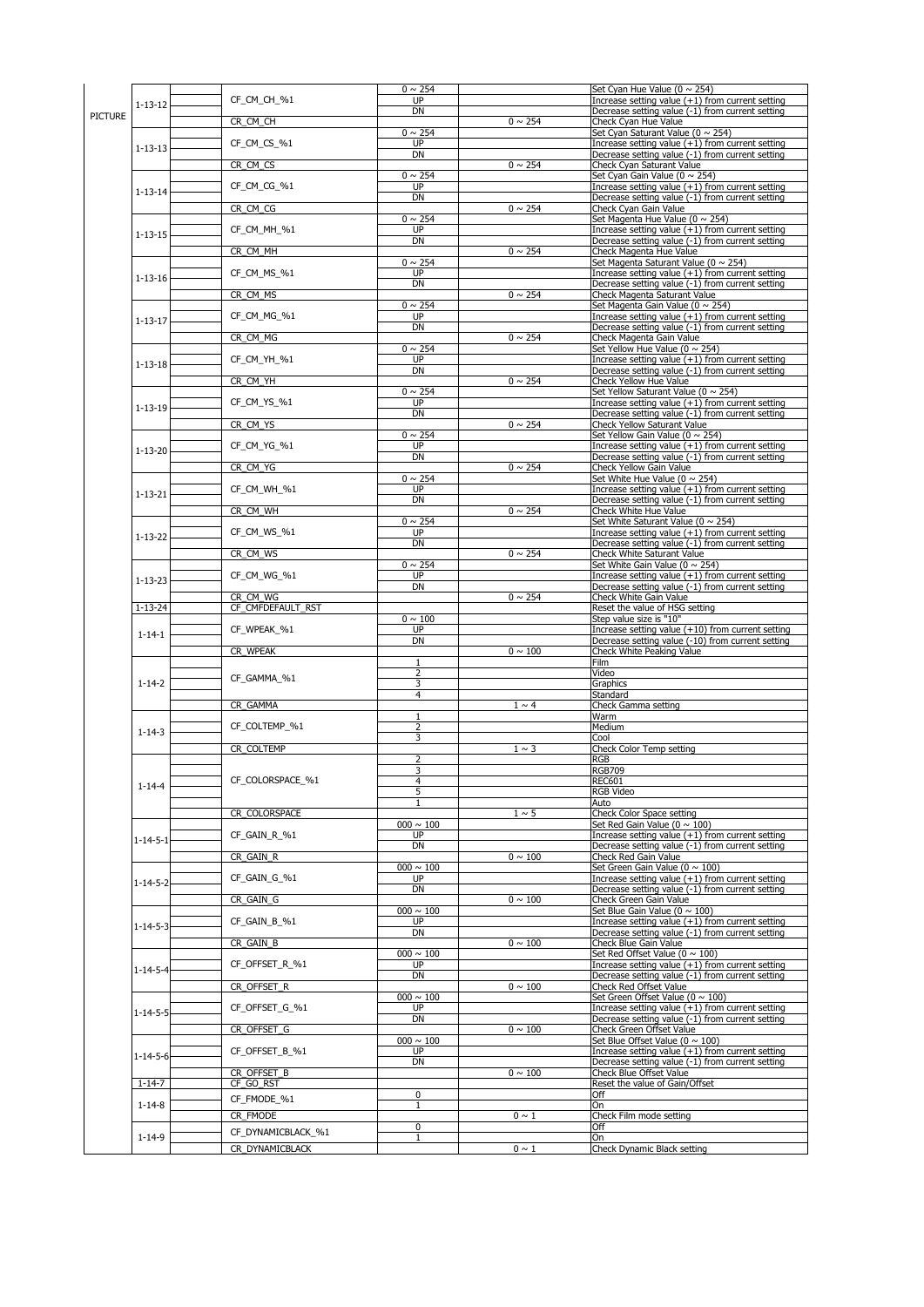|                  |                                       | $0 \sim 254$              |              | Set Cyan Hue Value ( $0 \sim 254$ )                                                                                                                                                                                                                                                                                                                                                      |
|------------------|---------------------------------------|---------------------------|--------------|------------------------------------------------------------------------------------------------------------------------------------------------------------------------------------------------------------------------------------------------------------------------------------------------------------------------------------------------------------------------------------------|
|                  | CF_CM_CH_%1                           | <b>UP</b>                 |              | Increase setting value $(+1)$ from current setting                                                                                                                                                                                                                                                                                                                                       |
| $1 - 13 - 12$    |                                       | <b>DN</b>                 |              | Decrease setting value (-1) from current setting                                                                                                                                                                                                                                                                                                                                         |
| <b>PICTURE</b>   | CR_CM_CH                              |                           | $0 \sim 254$ | <b>Check Cyan Hue Value</b>                                                                                                                                                                                                                                                                                                                                                              |
|                  |                                       | $0 \sim 254$              |              | Set Cyan Saturant Value ( $0 \sim 254$ )                                                                                                                                                                                                                                                                                                                                                 |
|                  | CF_CM_CS_%1                           | <b>UP</b>                 |              | Increase setting value $(+1)$ from current setting                                                                                                                                                                                                                                                                                                                                       |
| $1 - 13 - 13$    |                                       | <b>DN</b>                 |              | Decrease setting value (-1) from current setting                                                                                                                                                                                                                                                                                                                                         |
|                  | CR_CM_CS                              |                           | $0 \sim 254$ | Check Cyan Saturant Value                                                                                                                                                                                                                                                                                                                                                                |
|                  |                                       | $0 \sim 254$              |              | Set Cyan Gain Value ( $0 \sim 254$ )                                                                                                                                                                                                                                                                                                                                                     |
| $1 - 13 - 14$    | CF_CM_CG_%1                           | <b>UP</b>                 |              | Increase setting value $(+1)$ from current setting                                                                                                                                                                                                                                                                                                                                       |
|                  |                                       | <b>DN</b>                 |              | Decrease setting value (-1) from current setting                                                                                                                                                                                                                                                                                                                                         |
|                  | CR_CM_CG                              |                           | $0 \sim 254$ | <b>Check Cyan Gain Value</b>                                                                                                                                                                                                                                                                                                                                                             |
|                  |                                       | $0 \sim 254$              |              | Set Magenta Hue Value ( $0 \sim 254$ )                                                                                                                                                                                                                                                                                                                                                   |
| $1 - 13 - 15$    | CF_CM_MH_%1                           | <b>UP</b>                 |              | Increase setting value $(+1)$ from current setting                                                                                                                                                                                                                                                                                                                                       |
|                  |                                       | <b>DN</b>                 |              | Decrease setting value (-1) from current setting                                                                                                                                                                                                                                                                                                                                         |
|                  | CR_CM_MH                              |                           | $0 \sim 254$ | Check Magenta Hue Value                                                                                                                                                                                                                                                                                                                                                                  |
|                  |                                       | $0 \sim 254$              |              | Set Magenta Saturant Value (0 ~ 254)                                                                                                                                                                                                                                                                                                                                                     |
| $1 - 13 - 16$    | CF_CM_MS_%1                           | <b>UP</b>                 |              | Increase setting value $(+1)$ from current setting                                                                                                                                                                                                                                                                                                                                       |
|                  |                                       | <b>DN</b>                 |              | Decrease setting value (-1) from current setting                                                                                                                                                                                                                                                                                                                                         |
|                  | CR_CM_MS                              |                           | $0 \sim 254$ | <b>Check Magenta Saturant Value</b>                                                                                                                                                                                                                                                                                                                                                      |
|                  |                                       | $0 \sim 254$              |              | Set Magenta Gain Value ( $0 \sim 254$ )                                                                                                                                                                                                                                                                                                                                                  |
| $1 - 13 - 17$    | CF_CM_MG_%1                           | <b>UP</b>                 |              | Increase setting value $(+1)$ from current setting                                                                                                                                                                                                                                                                                                                                       |
|                  |                                       | <b>DN</b>                 |              | Decrease setting value (-1) from current setting                                                                                                                                                                                                                                                                                                                                         |
|                  | CR_CM_MG                              |                           | $0 \sim 254$ | Check Magenta Gain Value                                                                                                                                                                                                                                                                                                                                                                 |
|                  |                                       | $0 \sim 254$              |              | Set Yellow Hue Value ( $0 \sim 254$ )                                                                                                                                                                                                                                                                                                                                                    |
| $1 - 13 - 18$    | CF_CM_YH_%1                           | <b>UP</b>                 |              | Increase setting value $(+1)$ from current setting                                                                                                                                                                                                                                                                                                                                       |
|                  |                                       | <b>DN</b>                 |              | Decrease setting value (-1) from current setting                                                                                                                                                                                                                                                                                                                                         |
|                  | CR_CM_YH                              |                           | $0 \sim 254$ | <b>Check Yellow Hue Value</b>                                                                                                                                                                                                                                                                                                                                                            |
|                  |                                       | $0 \sim 254$              |              | Set Yellow Saturant Value ( $0 \sim 254$ )                                                                                                                                                                                                                                                                                                                                               |
| $1 - 13 - 19$    | CF_CM_YS_%1                           | <b>UP</b>                 |              | Increase setting value (+1) from current setting                                                                                                                                                                                                                                                                                                                                         |
|                  |                                       | <b>DN</b>                 |              | Decrease setting value (-1) from current setting                                                                                                                                                                                                                                                                                                                                         |
|                  | CR_CM_YS                              |                           | $0 \sim 254$ | <b>Check Yellow Saturant Value</b>                                                                                                                                                                                                                                                                                                                                                       |
|                  |                                       | $0 \sim 254$              |              | Set Yellow Gain Value ( $0 \sim 254$ )                                                                                                                                                                                                                                                                                                                                                   |
| $1 - 13 - 20$    | CF_CM_YG_%1                           | <b>UP</b>                 |              | Increase setting value $(+1)$ from current setting                                                                                                                                                                                                                                                                                                                                       |
|                  |                                       | <b>DN</b>                 |              | Decrease setting value (-1) from current setting                                                                                                                                                                                                                                                                                                                                         |
|                  | CR_CM_YG                              |                           | $0 \sim 254$ | <b>Check Yellow Gain Value</b>                                                                                                                                                                                                                                                                                                                                                           |
|                  |                                       | $0 \sim 254$              |              | Set White Hue Value ( $0 \sim 254$ )                                                                                                                                                                                                                                                                                                                                                     |
| $1 - 13 - 21$    | CF CM WH %1                           | <b>UP</b>                 |              | Increase setting value $(+1)$ from current setting                                                                                                                                                                                                                                                                                                                                       |
|                  |                                       | <b>DN</b>                 |              | Decrease setting value (-1) from current setting                                                                                                                                                                                                                                                                                                                                         |
|                  | CR_CM_WH                              |                           | $0 \sim 254$ | <b>Check White Hue Value</b>                                                                                                                                                                                                                                                                                                                                                             |
|                  |                                       | $0 \sim 254$              |              | Set White Saturant Value ( $0 \sim 254$ )                                                                                                                                                                                                                                                                                                                                                |
| $1 - 13 - 22$    | CF_CM_WS_%1                           | <b>UP</b>                 |              | Increase setting value $(+1)$ from current setting                                                                                                                                                                                                                                                                                                                                       |
|                  |                                       | <b>DN</b>                 |              | Decrease setting value (-1) from current setting                                                                                                                                                                                                                                                                                                                                         |
|                  | CR_CM_WS                              |                           | $0 \sim 254$ | <b>Check White Saturant Value</b>                                                                                                                                                                                                                                                                                                                                                        |
|                  | CF_CM_WG_%1                           | $0 \sim 254$<br><b>UP</b> |              | Set White Gain Value ( $0 \sim 254$ )                                                                                                                                                                                                                                                                                                                                                    |
| $1 - 13 - 23$    |                                       | <b>DN</b>                 |              | Increase setting value $(+1)$ from current setting                                                                                                                                                                                                                                                                                                                                       |
|                  | CR CM WG                              |                           | $0 \sim 254$ | Decrease setting value (-1) from current setting<br><b>Check White Gain Value</b>                                                                                                                                                                                                                                                                                                        |
| $1 - 13 - 24$    | CF_CMFDEFAULT_RST                     |                           |              | Reset the value of HSG setting                                                                                                                                                                                                                                                                                                                                                           |
|                  |                                       | $0 \sim 100$              |              | Step value size is "10"                                                                                                                                                                                                                                                                                                                                                                  |
|                  | CF_WPEAK_%1                           | <b>UP</b>                 |              | Increase setting value $(+10)$ from current setting                                                                                                                                                                                                                                                                                                                                      |
| $1 - 14 - 1$     |                                       | <b>DN</b>                 |              | Decrease setting value (-10) from current setting                                                                                                                                                                                                                                                                                                                                        |
|                  | CR_WPEAK                              |                           | $0\sim100$   | <b>Check White Peaking Value</b>                                                                                                                                                                                                                                                                                                                                                         |
|                  |                                       |                           |              | Film                                                                                                                                                                                                                                                                                                                                                                                     |
|                  |                                       | $\overline{2}$            |              | Video                                                                                                                                                                                                                                                                                                                                                                                    |
| $1 - 14 - 2$     | CF_GAMMA_%1                           | 3                         |              | Graphics                                                                                                                                                                                                                                                                                                                                                                                 |
|                  |                                       | $\overline{4}$            |              | Standard                                                                                                                                                                                                                                                                                                                                                                                 |
|                  | CR_GAMMA                              |                           | $1 \sim 4$   | <b>Check Gamma setting</b>                                                                                                                                                                                                                                                                                                                                                               |
|                  |                                       |                           |              | Warm                                                                                                                                                                                                                                                                                                                                                                                     |
|                  | CF_COLTEMP_%1                         | $\overline{2}$            |              | Medium                                                                                                                                                                                                                                                                                                                                                                                   |
| $1 - 14 - 3$     |                                       | $\overline{3}$            |              | Cool                                                                                                                                                                                                                                                                                                                                                                                     |
|                  | CR_COLTEMP                            |                           | $1 \sim 3$   | <b>Check Color Temp setting</b>                                                                                                                                                                                                                                                                                                                                                          |
|                  |                                       | $\overline{2}$            |              | <b>RGB</b>                                                                                                                                                                                                                                                                                                                                                                               |
|                  |                                       | 3                         |              | <b>RGB709</b>                                                                                                                                                                                                                                                                                                                                                                            |
|                  | CF_COLORSPACE_%1                      | 4                         |              | <b>REC601</b>                                                                                                                                                                                                                                                                                                                                                                            |
| $1 - 14 - 4$     |                                       | 5                         |              | <b>RGB Video</b>                                                                                                                                                                                                                                                                                                                                                                         |
|                  |                                       |                           |              | Auto                                                                                                                                                                                                                                                                                                                                                                                     |
|                  | CR COLORSPACE                         |                           | $1 \sim 5$   | <b>Check Color Space setting</b>                                                                                                                                                                                                                                                                                                                                                         |
|                  |                                       |                           |              | Set Red Gain Value ( $0 \sim 100$ )                                                                                                                                                                                                                                                                                                                                                      |
| $1 - 14 - 5 - 1$ |                                       | $000 \sim 100$            |              |                                                                                                                                                                                                                                                                                                                                                                                          |
|                  | CF_GAIN_R_%1                          | <b>UP</b>                 |              |                                                                                                                                                                                                                                                                                                                                                                                          |
|                  |                                       | <b>DN</b>                 |              |                                                                                                                                                                                                                                                                                                                                                                                          |
|                  | CR_GAIN_R                             |                           | $0 \sim 100$ | <b>Check Red Gain Value</b>                                                                                                                                                                                                                                                                                                                                                              |
|                  |                                       | $000 \sim 100$            |              | Set Green Gain Value ( $0 \sim 100$ )                                                                                                                                                                                                                                                                                                                                                    |
|                  | CF_GAIN_G_%1                          | <b>UP</b>                 |              |                                                                                                                                                                                                                                                                                                                                                                                          |
| $1 - 14 - 5 - 2$ |                                       | <b>DN</b>                 |              |                                                                                                                                                                                                                                                                                                                                                                                          |
|                  | CR_GAIN_G                             |                           | $0 \sim 100$ | <b>Check Green Gain Value</b>                                                                                                                                                                                                                                                                                                                                                            |
|                  |                                       | $000 \sim 100$            |              | Set Blue Gain Value ( $0 \sim 100$ )                                                                                                                                                                                                                                                                                                                                                     |
|                  | CF_GAIN_B_%1                          | <b>UP</b>                 |              |                                                                                                                                                                                                                                                                                                                                                                                          |
| $1 - 14 - 5 - 3$ |                                       | <b>DN</b>                 |              |                                                                                                                                                                                                                                                                                                                                                                                          |
|                  | CR_GAIN_B                             |                           | $0 \sim 100$ | <b>Check Blue Gain Value</b>                                                                                                                                                                                                                                                                                                                                                             |
|                  |                                       | $000 \sim 100$            |              | Set Red Offset Value ( $0 \sim 100$ )                                                                                                                                                                                                                                                                                                                                                    |
| $1 - 14 - 5 - 4$ | CF_OFFSET_R_%1                        | <b>UP</b>                 |              |                                                                                                                                                                                                                                                                                                                                                                                          |
|                  |                                       | <b>DN</b>                 |              |                                                                                                                                                                                                                                                                                                                                                                                          |
|                  | CR_OFFSET_R                           |                           | $0 \sim 100$ | <b>Check Red Offset Value</b>                                                                                                                                                                                                                                                                                                                                                            |
|                  |                                       | $000 \sim 100$            |              | Set Green Offset Value ( $0 \sim 100$ )                                                                                                                                                                                                                                                                                                                                                  |
|                  | CF_OFFSET_G_%1                        | <b>UP</b>                 |              |                                                                                                                                                                                                                                                                                                                                                                                          |
| $1 - 14 - 5 - 5$ |                                       | <b>DN</b>                 |              |                                                                                                                                                                                                                                                                                                                                                                                          |
|                  | CR_OFFSET_G                           |                           | $0 \sim 100$ | <b>Check Green Offset Value</b>                                                                                                                                                                                                                                                                                                                                                          |
|                  |                                       | $000 \sim 100$            |              | Set Blue Offset Value ( $0 \sim 100$ )                                                                                                                                                                                                                                                                                                                                                   |
|                  | CF_OFFSET_B_%1                        | <b>UP</b>                 |              |                                                                                                                                                                                                                                                                                                                                                                                          |
| $1 - 14 - 5 - 6$ |                                       | <b>DN</b>                 |              |                                                                                                                                                                                                                                                                                                                                                                                          |
|                  | CR OFFSET B                           |                           | $0 \sim 100$ | <b>Check Blue Offset Value</b>                                                                                                                                                                                                                                                                                                                                                           |
| $1 - 14 - 7$     | CF_GO_RST                             |                           |              | Reset the value of Gain/Offset                                                                                                                                                                                                                                                                                                                                                           |
|                  |                                       | $\boldsymbol{0}$          |              | Decrease setting value (-1) from current setting<br>Decrease setting value (-1) from current setting<br>Decrease setting value (-1) from current setting<br>Decrease setting value (-1) from current setting<br>Decrease setting value (-1) from current setting<br>Off                                                                                                                  |
| $1 - 14 - 8$     | CF_FMODE_%1                           |                           |              | Increase setting value (+1) from current setting<br>Increase setting value $(+1)$ from current setting<br>Increase setting value $(+1)$ from current setting<br>Decrease setting value (-1) from current setting<br>Increase setting value $(+1)$ from current setting<br>Increase setting value $(+1)$ from current setting<br>Increase setting value $(+1)$ from current setting<br>On |
|                  | CR_FMODE                              |                           | $0 \sim 1$   | Check Film mode setting                                                                                                                                                                                                                                                                                                                                                                  |
|                  |                                       | $\boldsymbol{0}$          |              | Off                                                                                                                                                                                                                                                                                                                                                                                      |
| $1 - 14 - 9$     | CF_DYNAMICBLACK_%1<br>CR_DYNAMICBLACK |                           | $0 \sim 1$   | On<br>Check Dynamic Black setting                                                                                                                                                                                                                                                                                                                                                        |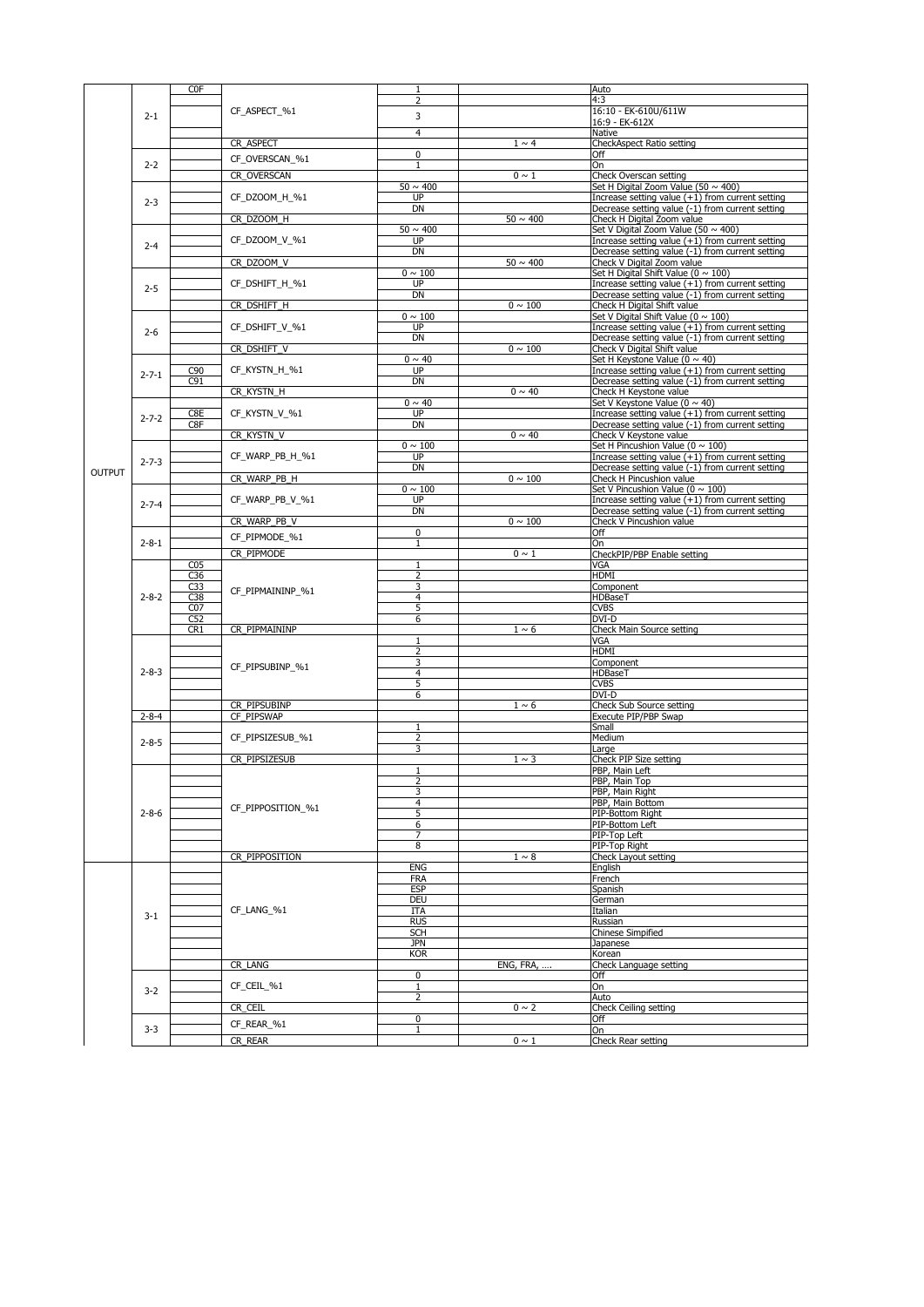|               |             | <b>COF</b>       |                   |                          |                          | Auto                                                                                                 |
|---------------|-------------|------------------|-------------------|--------------------------|--------------------------|------------------------------------------------------------------------------------------------------|
|               |             |                  |                   | $\overline{2}$           |                          | 4:3                                                                                                  |
|               | $2 - 1$     |                  | CF_ASPECT_%1      | 3                        |                          | 16:10 - EK-610U/611W                                                                                 |
| <b>OUTPUT</b> |             |                  |                   |                          |                          | 16:9 - EK-612X                                                                                       |
|               |             |                  |                   | $\overline{4}$           |                          | Native                                                                                               |
|               |             |                  | CR_ASPECT         |                          | $1 \sim 4$               | CheckAspect Ratio setting                                                                            |
|               |             |                  | CF_OVERSCAN_%1    | 0                        |                          | Off                                                                                                  |
|               | $2 - 2$     |                  |                   |                          |                          | <b>On</b>                                                                                            |
|               |             |                  | CR_OVERSCAN       |                          | $0 \sim 1$               | Check Overscan setting                                                                               |
|               |             |                  |                   | $50 \sim 400$            |                          | Set H Digital Zoom Value (50 ~ 400)                                                                  |
|               | $2 - 3$     |                  | CF_DZOOM_H_%1     | <b>UP</b>                |                          | Increase setting value (+1) from current setting                                                     |
|               |             |                  |                   | <b>DN</b>                |                          | Decrease setting value (-1) from current setting                                                     |
|               |             |                  | CR_DZOOM_H        |                          | $\overline{50} \sim 400$ | Check H Digital Zoom value                                                                           |
|               |             |                  |                   | $50 \sim 400$            |                          | Set V Digital Zoom Value (50 $\sim$ 400)                                                             |
|               | $2 - 4$     |                  | CF_DZOOM_V_%1     | <b>UP</b>                |                          | Increase setting value (+1) from current setting                                                     |
|               |             |                  |                   | <b>DN</b>                |                          | Decrease setting value (-1) from current setting                                                     |
|               |             |                  | CR_DZOOM_V        |                          | $50 \sim 400$            | Check V Digital Zoom value                                                                           |
|               |             |                  |                   | $0 \sim 100$             |                          | Set H Digital Shift Value ( $0 \sim 100$ )                                                           |
|               | $2 - 5$     |                  | CF_DSHIFT_H_%1    | <b>UP</b>                |                          | Increase setting value $(+1)$ from current setting                                                   |
|               |             |                  |                   | <b>DN</b>                |                          | Decrease setting value (-1) from current setting                                                     |
|               |             |                  | CR_DSHIFT_H       |                          | $0 \sim 100$             | Check H Digital Shift value                                                                          |
|               |             |                  |                   | $0 \sim 100$             |                          | Set V Digital Shift Value ( $0 \sim 100$ )                                                           |
|               | $2 - 6$     |                  | CF_DSHIFT_V_%1    | <b>UP</b>                |                          | Increase setting value (+1) from current setting                                                     |
|               |             |                  |                   | <b>DN</b>                |                          | Decrease setting value (-1) from current setting                                                     |
|               |             |                  | CR_DSHIFT_V       |                          | $0 \sim 100$             | Check V Digital Shift value                                                                          |
|               |             |                  |                   | $0 \sim 40$              |                          | Set H Keystone Value (0 $\sim$ 40)                                                                   |
|               | $2 - 7 - 1$ | C <sub>90</sub>  | CF_KYSTN_H_%1     | <b>UP</b>                |                          | Increase setting value $(+1)$ from current setting                                                   |
|               |             | C91              |                   | <b>DN</b>                |                          | Decrease setting value (-1) from current setting                                                     |
|               |             |                  | CR_KYSTN_H        |                          | $0 \sim 40$              | Check H Keystone value                                                                               |
|               |             | C8E              | CF_KYSTN_V_%1     | $0 \sim 40$<br><b>UP</b> |                          | Set V Keystone Value (0 ~ 40)                                                                        |
|               | $2 - 7 - 2$ | C8F              |                   | <b>DN</b>                |                          | Increase setting value (+1) from current setting<br>Decrease setting value (-1) from current setting |
|               |             |                  |                   |                          | $0 \sim 40$              |                                                                                                      |
|               |             |                  | CR_KYSTN_V        | $0 \sim 100$             |                          | Check V Keystone value<br>Set H Pincushion Value ( $0 \sim 100$ )                                    |
|               |             |                  | CF_WARP_PB_H_%1   | <b>UP</b>                |                          | Increase setting value (+1) from current setting                                                     |
|               | $2 - 7 - 3$ |                  |                   | <b>DN</b>                |                          | Decrease setting value (-1) from current setting                                                     |
|               |             |                  | CR_WARP_PB_H      |                          | $0 \sim 100$             | Check H Pincushion value                                                                             |
|               |             |                  |                   | $0 \sim 100$             |                          | Set V Pincushion Value ( $0 \sim 100$ )                                                              |
|               |             |                  | CF_WARP_PB_V_%1   | <b>UP</b>                |                          | Increase setting value (+1) from current setting                                                     |
|               | $2 - 7 - 4$ |                  |                   | <b>DN</b>                |                          | Decrease setting value (-1) from current setting                                                     |
|               |             |                  | CR_WARP_PB_V      |                          | $0 \sim 100$             | Check V Pincushion value                                                                             |
|               |             |                  |                   | 0                        |                          | Off                                                                                                  |
|               | $2 - 8 - 1$ |                  | CF_PIPMODE_%1     |                          |                          | <b>l</b> On                                                                                          |
|               |             |                  | CR_PIPMODE        |                          | $0 \sim 1$               | CheckPIP/PBP Enable setting                                                                          |
|               |             | CO <sub>5</sub>  |                   |                          |                          | <b>VGA</b>                                                                                           |
|               |             | C36              |                   | $\mathcal{D}$            |                          | <b>HDMI</b>                                                                                          |
|               |             | C33              |                   |                          |                          | Component                                                                                            |
|               | $2 - 8 - 2$ | $\overline{C38}$ | CF_PIPMAININP_%1  | 4                        |                          | <b>HDBaseT</b>                                                                                       |
|               |             | CO <sub>7</sub>  |                   | 5                        |                          | <b>CVBS</b>                                                                                          |
|               |             | C52              |                   | 6                        |                          | <b>DVI-D</b>                                                                                         |
|               |             | CR1              | CR PIPMAININP     |                          | $1 \sim 6$               | Check Main Source setting                                                                            |
|               |             |                  |                   |                          |                          | <b>VGA</b>                                                                                           |
|               |             |                  |                   | $\overline{2}$           |                          | <b>HDMI</b>                                                                                          |
|               |             |                  |                   | 3                        |                          | Component                                                                                            |
|               | $2 - 8 - 3$ |                  | CF_PIPSUBINP_%1   |                          |                          | HDBaseT                                                                                              |
|               |             |                  |                   | 5                        |                          | <b>CVBS</b>                                                                                          |
|               |             |                  |                   | 6                        |                          | <b>DVI-D</b>                                                                                         |
|               |             |                  | CR PIPSUBINP      |                          | $1 \sim 6$               | Check Sub Source setting                                                                             |
|               | $2 - 8 - 4$ |                  | CF PIPSWAP        |                          |                          | Execute PIP/PBP Swap                                                                                 |
|               |             |                  |                   |                          |                          | Small                                                                                                |
|               | $2 - 8 - 5$ |                  | CF_PIPSIZESUB_%1  | $\overline{2}$           |                          | Medium                                                                                               |
|               |             |                  |                   | 3                        |                          | Large                                                                                                |
|               |             |                  | CR PIPSIZESUB     |                          | $1 \sim 3$               | Check PIP Size setting                                                                               |
|               |             |                  |                   |                          |                          | PBP, Main Left                                                                                       |
|               |             |                  |                   | C                        |                          | PBP, Main Top                                                                                        |
|               |             |                  |                   |                          |                          | PBP, Main Right                                                                                      |
|               |             |                  | CF_PIPPOSITION_%1 | 4                        |                          | PBP, Main Bottom                                                                                     |
|               | $2 - 8 - 6$ |                  |                   | 5                        |                          | PIP-Bottom Right                                                                                     |
|               |             |                  |                   | 6                        |                          | PIP-Bottom Left                                                                                      |
|               |             |                  |                   | $\overline{\phantom{a}}$ |                          | PIP-Top Left                                                                                         |
|               |             |                  |                   | 8                        |                          | PIP-Top Right                                                                                        |
|               |             |                  | CR PIPPOSITION    |                          | $1\sim 8$                | Check Layout setting                                                                                 |
|               |             |                  |                   | <b>ENG</b>               |                          | English                                                                                              |
|               |             |                  |                   | <b>FRA</b>               |                          | French                                                                                               |
|               |             |                  |                   | <b>ESP</b>               |                          | Spanish                                                                                              |
|               |             |                  |                   | <b>DEU</b>               |                          | German                                                                                               |
|               | $3 - 1$     |                  | CF_LANG_%1        | <b>ITA</b>               |                          | Italian                                                                                              |
|               |             |                  |                   | <b>RUS</b>               |                          | Russian                                                                                              |
|               |             |                  |                   | <b>SCH</b>               |                          | <b>Chinese Simpified</b>                                                                             |
|               |             |                  |                   | <b>JPN</b>               |                          | Japanese                                                                                             |
|               |             |                  |                   | <b>KOR</b>               |                          | Korean                                                                                               |
|               |             |                  | CR_LANG           |                          | <b>ENG, FRA, </b>        | Check Language setting                                                                               |
|               |             |                  |                   | $\overline{0}$           |                          | Off                                                                                                  |
|               | $3 - 2$     |                  | CF_CEIL_%1        |                          |                          | <b>On</b>                                                                                            |
|               |             |                  |                   | $\overline{2}$           |                          | Auto                                                                                                 |
|               |             |                  | CR_CEIL           |                          | $0 \sim 2$               | <b>Check Ceiling setting</b>                                                                         |
|               |             |                  | CF_REAR_%1        | 0                        |                          | Off                                                                                                  |
|               | $3 - 3$     |                  |                   |                          |                          | lOn                                                                                                  |
|               |             |                  | CR_REAR           |                          | $0 \sim 1$               | Check Rear setting                                                                                   |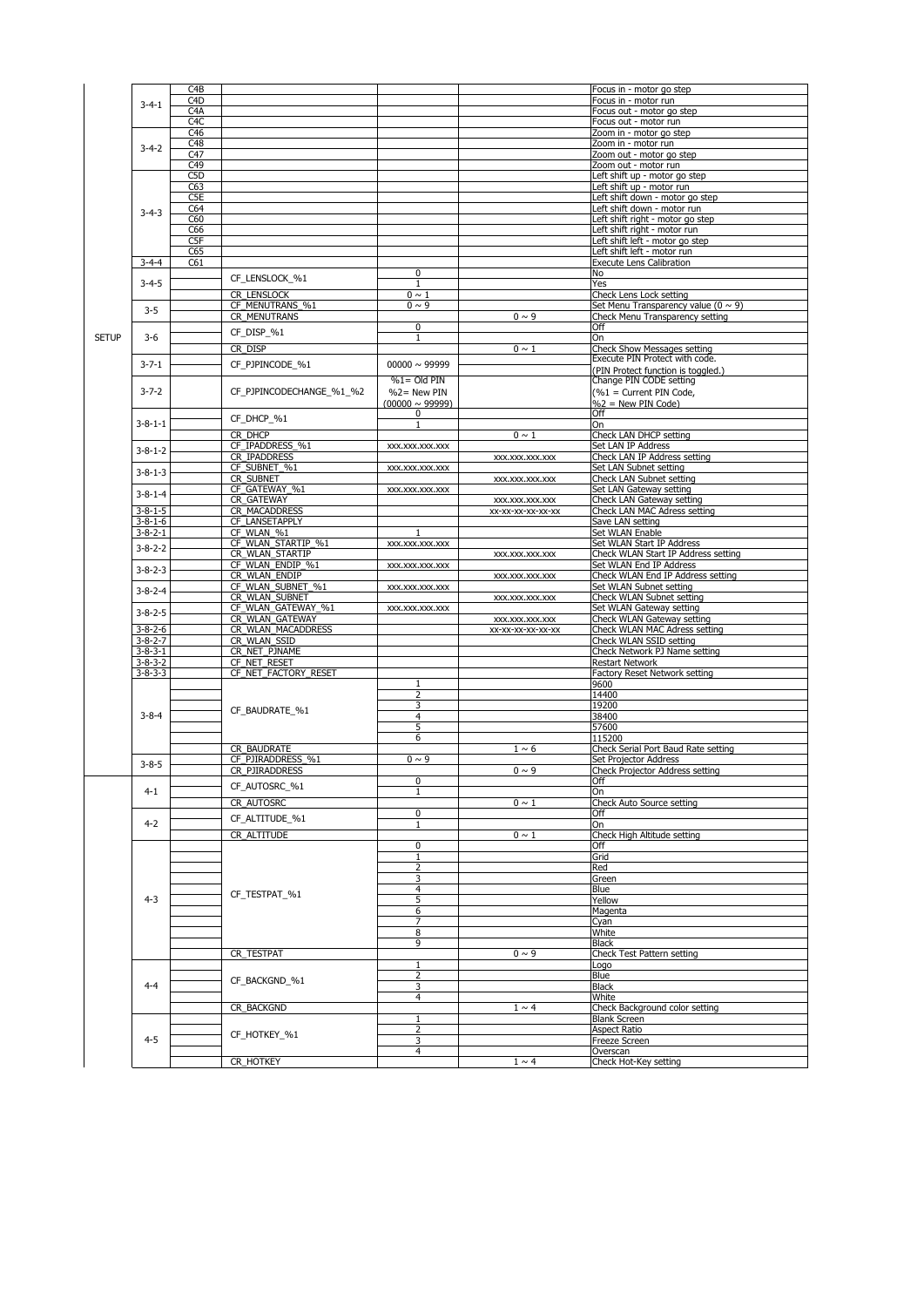|              |                 | C <sub>4</sub> B |                          |                        |                   | Focus in - motor go step                 |
|--------------|-----------------|------------------|--------------------------|------------------------|-------------------|------------------------------------------|
|              |                 | C <sub>4</sub> D |                          |                        |                   | Focus in - motor run                     |
|              | $3 - 4 - 1$     | C <sub>4</sub> A |                          |                        |                   | Focus out - motor go step                |
|              |                 | C <sub>4</sub> C |                          |                        |                   | Focus out - motor run                    |
|              |                 | C46              |                          |                        |                   | Zoom in - motor go step                  |
|              |                 | C48              |                          |                        |                   | Zoom in - motor run                      |
|              | $3 - 4 - 2$     |                  |                          |                        |                   |                                          |
|              |                 | C47              |                          |                        |                   | Zoom out - motor go step                 |
|              |                 | C49              |                          |                        |                   | Zoom out - motor run                     |
|              |                 | C <sub>5</sub> D |                          |                        |                   | Left shift up - motor go step            |
|              |                 | C63              |                          |                        |                   | Left shift up - motor run                |
|              |                 | C <sub>5</sub> E |                          |                        |                   | Left shift down - motor go step          |
|              | $3 - 4 - 3$     | C64              |                          |                        |                   | Left shift down - motor run              |
|              |                 | C60              |                          |                        |                   | Left shift right - motor go step         |
|              |                 | C66              |                          |                        |                   | Left shift right - motor run             |
|              |                 | C5F              |                          |                        |                   | Left shift left - motor go step          |
|              |                 | C65              |                          |                        |                   | Left shift left - motor run              |
|              | $3 - 4 - 4$     | C61              |                          |                        |                   | <b>Execute Lens Calibration</b>          |
|              |                 |                  | CF_LENSLOCK_%1           | $\boldsymbol{0}$       |                   | <b>No</b>                                |
|              | $3 - 4 - 5$     |                  |                          |                        |                   | Yes                                      |
|              |                 |                  | CR_LENSLOCK              | $0 \sim 1$             |                   | Check Lens Lock setting                  |
|              | $3-5$           |                  | CF_MENUTRANS_%1          | $0 \sim 9$             |                   | Set Menu Transparency value $(0 \sim 9)$ |
|              |                 |                  | <b>CR_MENUTRANS</b>      |                        | $0 \sim 9$        | Check Menu Transparency setting          |
|              |                 |                  |                          | $\boldsymbol{0}$       |                   | Off                                      |
| <b>SETUP</b> | $3 - 6$         |                  | $CF_DISP_%1$             | $\mathbf{1}$           |                   | On                                       |
|              |                 |                  | CR DISP                  |                        | $0 \sim 1$        | <b>Check Show Messages setting</b>       |
|              |                 |                  |                          |                        |                   | Execute PIN Protect with code.           |
|              | $3 - 7 - 1$     |                  | CF_PJPINCODE_%1          | $00000 \sim 99999$     |                   | (PIN Protect function is toggled.)       |
|              |                 |                  |                          | $\frac{9}{61}$ Old PIN |                   | Change PIN CODE setting                  |
|              | $3 - 7 - 2$     |                  | CF_PJPINCODECHANGE_%1_%2 | $%2=$ New PIN          |                   | $(\%1 =$ Current PIN Code,               |
|              |                 |                  |                          | $(00000 \sim 99999)$   |                   | $\%$ 2 = New PIN Code)                   |
|              |                 |                  |                          | $\boldsymbol{0}$       |                   | <b>Off</b>                               |
|              | $3 - 8 - 1 - 1$ |                  | CF DHCP %1               | $\mathbf{1}$           |                   | On                                       |
|              |                 |                  | CR DHCP                  |                        | $0 \sim 1$        | <b>Check LAN DHCP setting</b>            |
|              |                 |                  | CF_IPADDRESS_%1          | XXX.XXX.XXX.XXX        |                   | <b>Set LAN IP Address</b>                |
|              | $3 - 8 - 1 - 2$ |                  | <b>CR IPADDRESS</b>      |                        | XXX.XXX.XXX.XXX   | Check LAN IP Address setting             |
|              |                 |                  | CF SUBNET %1             | XXX.XXX.XXX.XXX        |                   | <b>Set LAN Subnet setting</b>            |
|              | $3 - 8 - 1 - 3$ |                  | CR_SUBNET                |                        | XXX.XXX.XXX.XXX   | <b>Check LAN Subnet setting</b>          |
|              |                 |                  | CF GATEWAY %1            | XXX.XXX.XXX.XXX        |                   | Set LAN Gateway setting                  |
|              | $3 - 8 - 1 - 4$ |                  | CR_GATEWAY               |                        | XXX.XXX.XXX.XXX   | <b>Check LAN Gateway setting</b>         |
|              | $3 - 8 - 1 - 5$ |                  | <b>CR MACADDRESS</b>     |                        | XX-XX-XX-XX-XX-XX | <b>Check LAN MAC Adress setting</b>      |
|              | $3 - 8 - 1 - 6$ |                  | CF LANSETAPPLY           |                        |                   | Save LAN setting                         |
|              | $3 - 8 - 2 - 1$ |                  | CF_WLAN_%1               |                        |                   | Set WLAN Enable                          |
|              |                 |                  | CF_WLAN_STARTIP_%1       | XXX.XXX.XXX.XXX        |                   | <b>Set WLAN Start IP Address</b>         |
|              | $3 - 8 - 2 - 2$ |                  | CR_WLAN_STARTIP          |                        | XXX.XXX.XXX.XXX   | Check WLAN Start IP Address setting      |
|              |                 |                  | CF WLAN ENDIP %1         | XXX.XXX.XXX.XXX        |                   | <b>Set WLAN End IP Address</b>           |
|              | $3 - 8 - 2 - 3$ |                  | CR_WLAN_ENDIP            |                        | XXX.XXX.XXX.XXX   | Check WLAN End IP Address setting        |
|              |                 |                  | CF WLAN SUBNET %1        | XXX.XXX.XXX.XXX        |                   | <b>Set WLAN Subnet setting</b>           |
|              | $3 - 8 - 2 - 4$ |                  | CR_WLAN_SUBNET           |                        | XXX.XXX.XXX.XXX   | <b>Check WLAN Subnet setting</b>         |
|              |                 |                  | CF WLAN GATEWAY %1       | XXX.XXX.XXX.XXX        |                   | <b>Set WLAN Gateway setting</b>          |
|              | $3 - 8 - 2 - 5$ |                  | CR WLAN GATEWAY          |                        | XXX.XXX.XXX.XXX   | Check WLAN Gateway setting               |
|              | $3 - 8 - 2 - 6$ |                  | CR WLAN MACADDRESS       |                        | XX-XX-XX-XX-XX-XX | <b>Check WLAN MAC Adress setting</b>     |
|              | $3 - 8 - 2 - 7$ |                  | CR_WLAN_SSID             |                        |                   | Check WLAN SSID setting                  |
|              | $3 - 8 - 3 - 1$ |                  | CR_NET_PJNAME            |                        |                   | Check Network PJ Name setting            |
|              | $3 - 8 - 3 - 2$ |                  | CF NET RESET             |                        |                   | <b>Restart Network</b>                   |
|              | $3 - 8 - 3 - 3$ |                  | CF NET FACTORY RESET     |                        |                   | <b>Factory Reset Network setting</b>     |
|              |                 |                  |                          | $\mathbf 1$            |                   | 9600                                     |
|              |                 |                  |                          | $\overline{2}$         |                   | 14400                                    |
|              |                 |                  |                          | 3                      |                   | 19200                                    |
|              | $3 - 8 - 4$     |                  | CF BAUDRATE %1           | $\overline{4}$         |                   | 38400                                    |
|              |                 |                  |                          | 5                      |                   | 57600                                    |
|              |                 |                  |                          | 6                      |                   | 115200                                   |
|              |                 |                  | CR BAUDRATE              |                        | $1 \sim 6$        | Check Serial Port Baud Rate setting      |
|              |                 |                  | CF PJIRADDRESS %1        | $0 \sim 9$             |                   | Set Projector Address                    |
|              | $3 - 8 - 5$     |                  | CR_PJIRADDRESS           |                        | $0 \sim 9$        | <b>Check Projector Address setting</b>   |
|              |                 |                  |                          | $\mathbf 0$            |                   | Off                                      |
|              | $4 - 1$         |                  | CF_AUTOSRC_%1            | $\mathbf 1$            |                   | <b>On</b>                                |
|              |                 |                  | CR_AUTOSRC               |                        | $0 \sim 1$        | <b>Check Auto Source setting</b>         |
|              |                 |                  |                          | 0                      |                   | Off                                      |
|              | $4 - 2$         |                  | CF_ALTITUDE_%1           | $\mathbf{1}$           |                   | <b>On</b>                                |
|              |                 |                  | CR_ALTITUDE              |                        | $0 \sim 1$        | Check High Altitude setting              |
|              |                 |                  |                          | $\boldsymbol{0}$       |                   | Off                                      |
|              |                 |                  |                          |                        |                   | Grid                                     |
|              |                 |                  |                          | $\overline{2}$         |                   | Red                                      |
|              |                 |                  |                          | 3                      |                   | Green                                    |
|              |                 |                  | CF_TESTPAT_%1            | $\overline{4}$         |                   | <b>Blue</b>                              |
|              | $4 - 3$         |                  |                          | 5                      |                   | Yellow                                   |
|              |                 |                  |                          | 6                      |                   | Magenta                                  |
|              |                 |                  |                          | $\overline{7}$         |                   | Cyan                                     |
|              |                 |                  |                          | 8                      |                   | White                                    |
|              |                 |                  |                          | 9                      |                   | <b>Black</b>                             |
|              |                 |                  | CR_TESTPAT               |                        | $0 \sim 9$        | <b>Check Test Pattern setting</b>        |
|              |                 |                  |                          |                        |                   | Logo                                     |
|              |                 |                  | CF_BACKGND_%1            | $\overline{2}$         |                   | <b>Blue</b>                              |
|              | $4 - 4$         |                  |                          | 3                      |                   | <b>Black</b>                             |
|              |                 |                  |                          | $\overline{4}$         |                   | White                                    |
|              |                 |                  | CR_BACKGND               |                        | $1 \sim 4$        | Check Background color setting           |
|              |                 |                  |                          |                        |                   | <b>Blank Screen</b>                      |
|              |                 |                  | CF_HOTKEY_%1             | $\overline{2}$         |                   | <b>Aspect Ratio</b>                      |
|              | $4 - 5$         |                  |                          | 3                      |                   | <b>Freeze Screen</b>                     |
|              |                 |                  |                          | $\overline{4}$         | $1 \sim 4$        | Overscan<br>Check Hot-Key setting        |
|              |                 |                  | CR_HOTKEY                |                        |                   |                                          |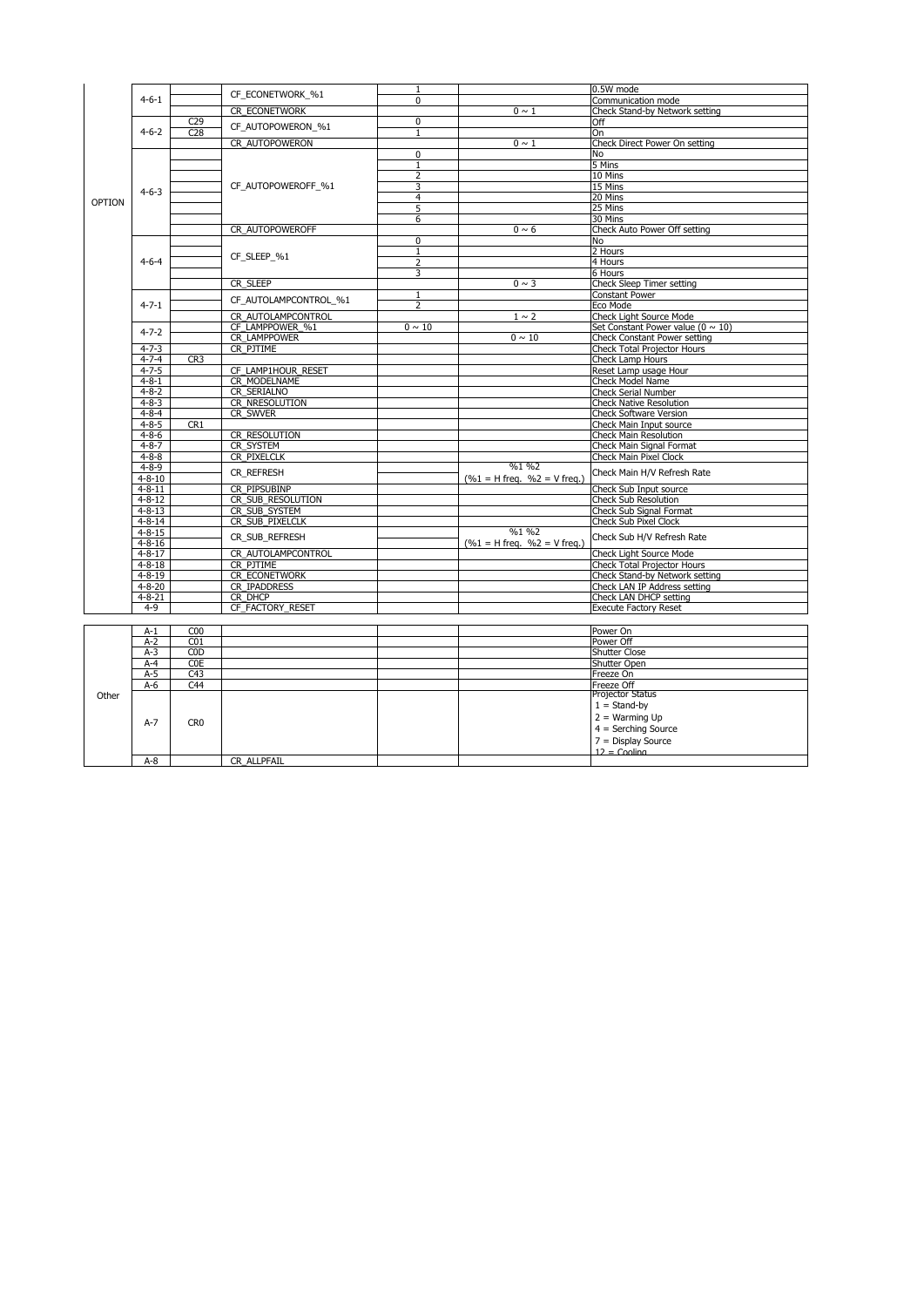|               |              |                 | CF_ECONETWORK_%1      |                |                                   | 0.5W mode                                |
|---------------|--------------|-----------------|-----------------------|----------------|-----------------------------------|------------------------------------------|
|               | $4 - 6 - 1$  |                 |                       | $\mathbf 0$    |                                   | Communication mode                       |
|               |              |                 | <b>CR ECONETWORK</b>  |                | $0 \sim 1$                        | Check Stand-by Network setting           |
|               |              | C <sub>29</sub> | CF_AUTOPOWERON_%1     | $\mathbf 0$    |                                   | Off                                      |
|               | $4 - 6 - 2$  | C28             |                       | $\mathbf{1}$   |                                   | On                                       |
|               |              |                 | CR AUTOPOWERON        |                | $0 \sim 1$                        | Check Direct Power On setting            |
|               |              |                 |                       | $\mathbf 0$    |                                   | <b>No</b>                                |
|               |              |                 |                       |                |                                   | 5 Mins                                   |
|               |              |                 |                       | $\overline{2}$ |                                   | 10 Mins                                  |
|               | $4 - 6 - 3$  |                 | CF_AUTOPOWEROFF_%1    | 3              |                                   | 15 Mins                                  |
| <b>OPTION</b> |              |                 |                       | 4              |                                   | 20 Mins                                  |
|               |              |                 |                       | 5              |                                   | 25 Mins                                  |
|               |              |                 |                       | 6              |                                   | 30 Mins                                  |
|               |              |                 | CR AUTOPOWEROFF       |                | $0 \sim 6$                        | <b>Check Auto Power Off setting</b>      |
|               |              |                 |                       | $\mathbf 0$    |                                   | <b>No</b>                                |
|               |              |                 | CF SLEEP %1           |                |                                   | 2 Hours                                  |
|               | $4 - 6 - 4$  |                 |                       | $\overline{2}$ |                                   | 4 Hours                                  |
|               |              |                 |                       | 3              |                                   | 6 Hours                                  |
|               |              |                 | CR_SLEEP              |                | $0 \sim 3$                        | <b>Check Sleep Timer setting</b>         |
|               |              |                 | CF_AUTOLAMPCONTROL_%1 |                |                                   | <b>Constant Power</b>                    |
|               | $4 - 7 - 1$  |                 |                       | $\overline{2}$ |                                   | Eco Mode                                 |
|               |              |                 | CR_AUTOLAMPCONTROL    |                | $1 \sim 2$                        | <b>Check Light Source Mode</b>           |
|               | $4 - 7 - 2$  |                 | CF_LAMPPOWER_%1       | $0 \sim 10$    |                                   | Set Constant Power value ( $0 \sim 10$ ) |
|               |              |                 | <b>CR LAMPPOWER</b>   |                | $0 \sim 10$                       | <b>Check Constant Power setting</b>      |
|               | $4 - 7 - 3$  |                 | CR PJTIME             |                |                                   | <b>Check Total Projector Hours</b>       |
|               | $4 - 7 - 4$  | CR <sub>3</sub> |                       |                |                                   | <b>Check Lamp Hours</b>                  |
|               | $4 - 7 - 5$  |                 | CF LAMP1HOUR RESET    |                |                                   | Reset Lamp usage Hour                    |
|               | $4 - 8 - 1$  |                 | CR MODELNAME          |                |                                   | <b>Check Model Name</b>                  |
|               | $4 - 8 - 2$  |                 | <b>CR SERIALNO</b>    |                |                                   | <b>Check Serial Number</b>               |
|               | $4 - 8 - 3$  |                 | CR_NRESOLUTION        |                |                                   | <b>Check Native Resolution</b>           |
|               | $4 - 8 - 4$  |                 | CR_SWVER              |                |                                   | <b>Check Software Version</b>            |
|               | $4 - 8 - 5$  | CR1             |                       |                |                                   | Check Main Input source                  |
|               | $4 - 8 - 6$  |                 | CR RESOLUTION         |                |                                   | <b>Check Main Resolution</b>             |
|               | $4 - 8 - 7$  |                 | CR_SYSTEM             |                |                                   | <b>Check Main Signal Format</b>          |
|               | $4 - 8 - 8$  |                 | CR_PIXELCLK           |                |                                   | <b>Check Main Pixel Clock</b>            |
|               | $4 - 8 - 9$  |                 |                       |                | $\frac{9}{61}$ %2                 |                                          |
|               | $4 - 8 - 10$ |                 | <b>CR REFRESH</b>     |                | $(\%1 = H$ freq. $\%2 = V$ freq.) | Check Main H/V Refresh Rate              |
|               | $4 - 8 - 11$ |                 | CR_PIPSUBINP          |                |                                   | Check Sub Input source                   |
|               | $4 - 8 - 12$ |                 | CR SUB RESOLUTION     |                |                                   | <b>Check Sub Resolution</b>              |
|               | $4 - 8 - 13$ |                 | CR SUB SYSTEM         |                |                                   | <b>Check Sub Signal Format</b>           |
|               | $4 - 8 - 14$ |                 | CR SUB PIXELCLK       |                |                                   | <b>Check Sub Pixel Clock</b>             |
|               | $4 - 8 - 15$ |                 |                       |                | %1%2                              |                                          |
|               | $4 - 8 - 16$ |                 | CR_SUB_REFRESH        |                | $(%1 = H freq. %2 = V freq.)$     | Check Sub H/V Refresh Rate               |
|               | $4 - 8 - 17$ |                 | CR AUTOLAMPCONTROL    |                |                                   | <b>Check Light Source Mode</b>           |
|               | $4 - 8 - 18$ |                 | CR PJTIME             |                |                                   | <b>Check Total Projector Hours</b>       |
|               | $4 - 8 - 19$ |                 | <b>CR ECONETWORK</b>  |                |                                   | Check Stand-by Network setting           |
|               | $4 - 8 - 20$ |                 | CR IPADDRESS          |                |                                   | <b>Check LAN IP Address setting</b>      |
|               | $4 - 8 - 21$ |                 | CR_DHCP               |                |                                   | Check LAN DHCP setting                   |
|               | $4 - 9$      |                 | CF_FACTORY_RESET      |                |                                   | <b>Execute Factory Reset</b>             |
|               |              |                 |                       |                |                                   |                                          |

|       | $A-1$ | C <sub>00</sub> |             | Power On                                                                                              |
|-------|-------|-----------------|-------------|-------------------------------------------------------------------------------------------------------|
|       | $A-2$ | CO <sub>1</sub> |             | Power Off                                                                                             |
|       | $A-3$ | <b>COD</b>      |             | <b>Shutter Close</b>                                                                                  |
|       | $A-4$ | <b>COE</b>      |             | Shutter Open                                                                                          |
|       | $A-5$ | C43             |             | Freeze On                                                                                             |
|       | $A-6$ | C <sub>44</sub> |             | Freeze Off<br>Projector Status                                                                        |
| Other | $A-7$ | CR <sub>0</sub> |             | $1 =$ Stand-by<br>$2 = Warming Up$<br>$4 =$ Serching Source<br>$7 =$ Display Source<br>$12 =$ Cooling |
|       | $A-8$ |                 | CR_ALLPFAIL |                                                                                                       |